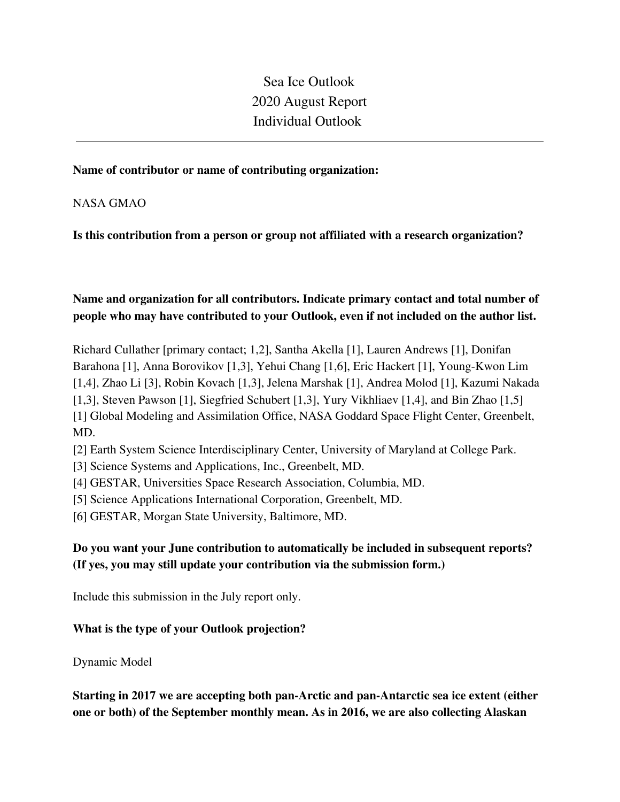Sea Ice Outlook 2020 August Report Individual Outlook

#### **Name of contributor or name of contributing organization:**

NASA GMAO

**Is this contribution from a person or group not affiliated with a research organization?** 

### **Name and organization for all contributors. Indicate primary contact and total number of people who may have contributed to your Outlook, even if not included on the author list.**

Richard Cullather [primary contact; 1,2], Santha Akella [1], Lauren Andrews [1], Donifan Barahona [1], Anna Borovikov [1,3], Yehui Chang [1,6], Eric Hackert [1], Young-Kwon Lim [1,4], Zhao Li [3], Robin Kovach [1,3], Jelena Marshak [1], Andrea Molod [1], Kazumi Nakada [1,3], Steven Pawson [1], Siegfried Schubert [1,3], Yury Vikhliaev [1,4], and Bin Zhao [1,5] [1] Global Modeling and Assimilation Office, NASA Goddard Space Flight Center, Greenbelt, MD.

[2] Earth System Science Interdisciplinary Center, University of Maryland at College Park.

[3] Science Systems and Applications, Inc., Greenbelt, MD.

[4] GESTAR, Universities Space Research Association, Columbia, MD.

[5] Science Applications International Corporation, Greenbelt, MD.

[6] GESTAR, Morgan State University, Baltimore, MD.

### **Do you want your June contribution to automatically be included in subsequent reports? (If yes, you may still update your contribution via the submission form.)**

Include this submission in the July report only.

### **What is the type of your Outlook projection?**

Dynamic Model

**Starting in 2017 we are accepting both pan-Arctic and pan-Antarctic sea ice extent (either one or both) of the September monthly mean. As in 2016, we are also collecting Alaskan**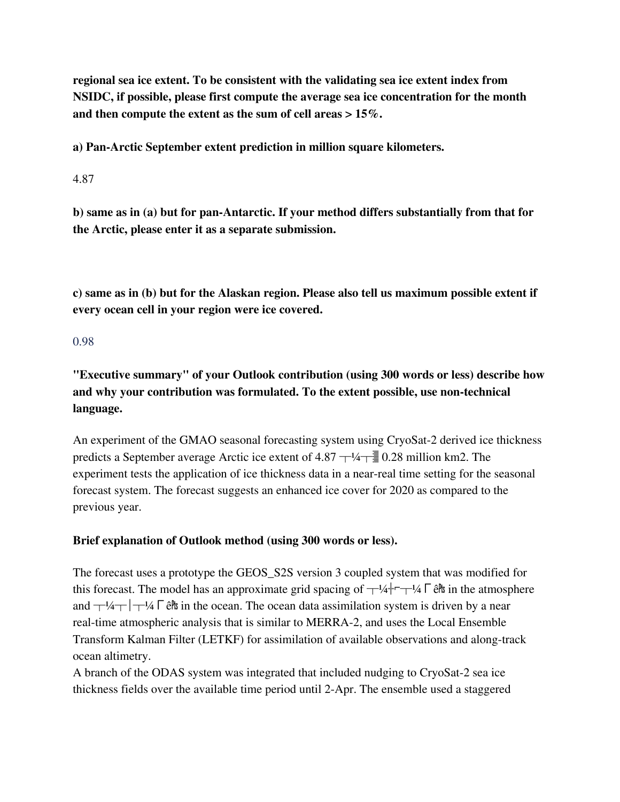**regional sea ice extent. To be consistent with the validating sea ice extent index from NSIDC, if possible, please first compute the average sea ice concentration for the month and then compute the extent as the sum of cell areas > 15%.**

**a) Pan-Arctic September extent prediction in million square kilometers.**

4.87

**b) same as in (a) but for pan-Antarctic. If your method differs substantially from that for the Arctic, please enter it as a separate submission.**

**c) same as in (b) but for the Alaskan region. Please also tell us maximum possible extent if every ocean cell in your region were ice covered.**

0.98

**"Executive summary" of your Outlook contribution (using 300 words or less) describe how and why your contribution was formulated. To the extent possible, use non-technical language.**

An experiment of the GMAO seasonal forecasting system using CryoSat-2 derived ice thickness predicts a September average Arctic ice extent of  $4.87 - 44$  0.28 million km2. The experiment tests the application of ice thickness data in a near-real time setting for the seasonal forecast system. The forecast suggests an enhanced ice cover for 2020 as compared to the previous year.

### **Brief explanation of Outlook method (using 300 words or less).**

The forecast uses a prototype the GEOS\_S2S version 3 coupled system that was modified for this forecast. The model has an approximate grid spacing of  $\pm\frac{1}{4}$   $\pm\frac{1}{4}$   $\pm\frac{1}{4}$   $\pm\frac{1}{4}$   $\pm\frac{1}{4}$   $\pm\frac{1}{4}$   $\pm\frac{1}{4}$   $\pm\frac{1}{4}$   $\pm\frac{1}{4}$   $\pm\frac{1}{4}$   $\pm\frac{1}{4}$   $\pm\frac{1}{4}$   $\pm\frac{1}{4}$   $\pm\frac$ and  $\pm \frac{1}{4}$ ,  $\pm \frac{1}{4}$   $\sqrt{6}$  f  $\hat{e}$  f in the ocean. The ocean data assimilation system is driven by a near real-time atmospheric analysis that is similar to MERRA-2, and uses the Local Ensemble Transform Kalman Filter (LETKF) for assimilation of available observations and along-track ocean altimetry.

A branch of the ODAS system was integrated that included nudging to CryoSat-2 sea ice thickness fields over the available time period until 2-Apr. The ensemble used a staggered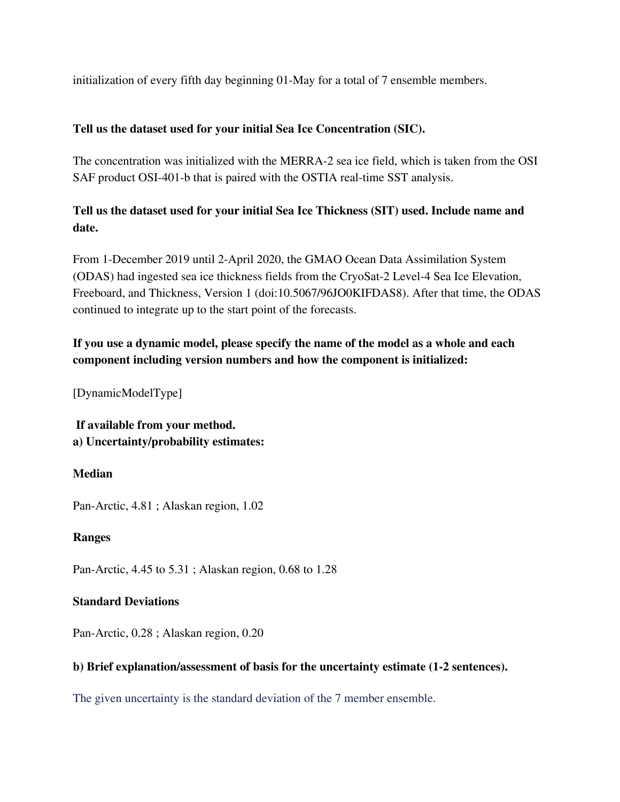initialization of every fifth day beginning 01-May for a total of 7 ensemble members.

#### **Tell us the dataset used for your initial Sea Ice Concentration (SIC).**

The concentration was initialized with the MERRA-2 sea ice field, which is taken from the OSI SAF product OSI-401-b that is paired with the OSTIA real-time SST analysis.

## **Tell us the dataset used for your initial Sea Ice Thickness (SIT) used. Include name and date.**

From 1-December 2019 until 2-April 2020, the GMAO Ocean Data Assimilation System (ODAS) had ingested sea ice thickness fields from the CryoSat-2 Level-4 Sea Ice Elevation, Freeboard, and Thickness, Version 1 (doi:10.5067/96JO0KIFDAS8). After that time, the ODAS continued to integrate up to the start point of the forecasts.

# **If you use a dynamic model, please specify the name of the model as a whole and each component including version numbers and how the component is initialized:**

[DynamicModelType]

**If available from your method. a) Uncertainty/probability estimates:**

### **Median**

Pan-Arctic, 4.81 ; Alaskan region, 1.02

### **Ranges**

Pan-Arctic, 4.45 to 5.31 ; Alaskan region, 0.68 to 1.28

### **Standard Deviations**

Pan-Arctic, 0.28 ; Alaskan region, 0.20

### **b) Brief explanation/assessment of basis for the uncertainty estimate (1-2 sentences).**

The given uncertainty is the standard deviation of the 7 member ensemble.